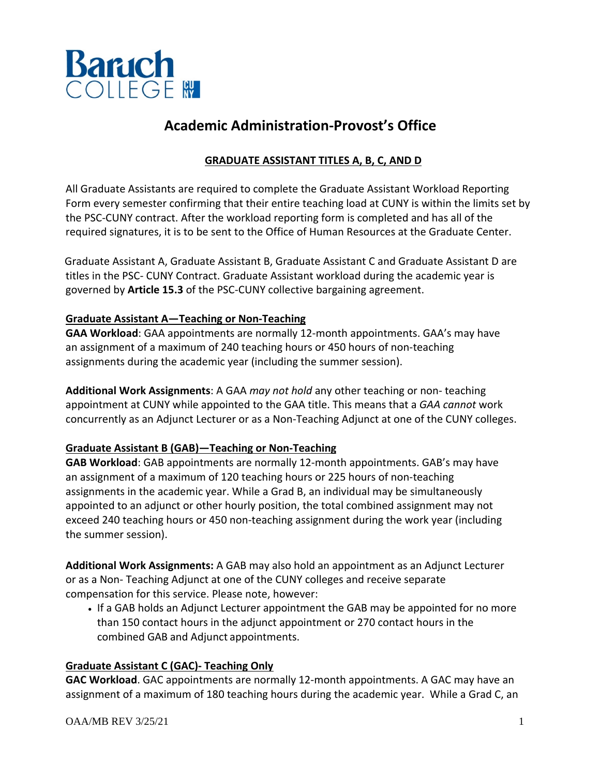

# **Academic Administration-Provost's Office**

## **GRADUATE ASSISTANT TITLES A, B, C, AND D**

All Graduate Assistants are required to complete the Graduate Assistant Workload Reporting Form every semester confirming that their entire teaching load at CUNY is within the limits set by the PSC-CUNY contract. After the workload reporting form is completed and has all of the required signatures, it is to be sent to the Office of Human Resources at the Graduate Center.

 Graduate Assistant A, Graduate Assistant B, Graduate Assistant C and Graduate Assistant D are titles in the PSC- CUNY Contract. Graduate Assistant workload during the academic year is governed by **Article 15.3** of the PSC-CUNY collective bargaining agreement.

#### **Graduate Assistant A—Teaching or Non-Teaching**

**GAA Workload**: GAA appointments are normally 12-month appointments. GAA's may have an assignment of a maximum of 240 teaching hours or 450 hours of non-teaching assignments during the academic year (including the summer session).

**Additional Work Assignments**: A GAA *may not hold* any other teaching or non- teaching appointment at CUNY while appointed to the GAA title. This means that a *GAA cannot* work concurrently as an Adjunct Lecturer or as a Non-Teaching Adjunct at one of the CUNY colleges.

### **Graduate Assistant B (GAB)—Teaching or Non-Teaching**

**GAB Workload**: GAB appointments are normally 12-month appointments. GAB's may have an assignment of a maximum of 120 teaching hours or 225 hours of non-teaching assignments in the academic year. While a Grad B, an individual may be simultaneously appointed to an adjunct or other hourly position, the total combined assignment may not exceed 240 teaching hours or 450 non-teaching assignment during the work year (including the summer session).

**Additional Work Assignments:** A GAB may also hold an appointment as an Adjunct Lecturer or as a Non- Teaching Adjunct at one of the CUNY colleges and receive separate compensation for this service. Please note, however:

• If a GAB holds an Adjunct Lecturer appointment the GAB may be appointed for no more than 150 contact hours in the adjunct appointment or 270 contact hours in the combined GAB and Adjunct appointments.

### **Graduate Assistant C (GAC)- Teaching Only**

**GAC Workload**. GAC appointments are normally 12-month appointments. A GAC may have an assignment of a maximum of 180 teaching hours during the academic year. While a Grad C, an